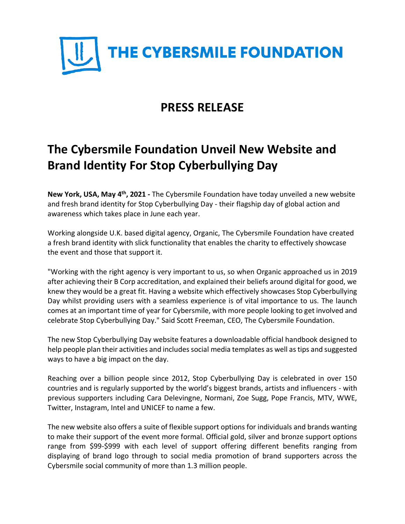

## **PRESS RELEASE**

# **The Cybersmile Foundation Unveil New Website and Brand Identity For Stop Cyberbullying Day**

New York, USA, May 4<sup>th</sup>, 2021 - The Cybersmile Foundation have today unveiled a new website and fresh brand identity for Stop Cyberbullying Day - their flagship day of global action and awareness which takes place in June each year.

Working alongside U.K. based digital agency, Organic, The Cybersmile Foundation have created a fresh brand identity with slick functionality that enables the charity to effectively showcase the event and those that support it.

"Working with the right agency is very important to us, so when Organic approached us in 2019 after achieving their B Corp accreditation, and explained their beliefs around digital for good, we knew they would be a great fit. Having a website which effectively showcases Stop Cyberbullying Day whilst providing users with a seamless experience is of vital importance to us. The launch comes at an important time of year for Cybersmile, with more people looking to get involved and celebrate Stop Cyberbullying Day." Said Scott Freeman, CEO, The Cybersmile Foundation.

The new Stop Cyberbullying Day website features a downloadable official handbook designed to help people plan their activities and includes social media templates as well as tips and suggested ways to have a big impact on the day.

Reaching over a billion people since 2012, Stop Cyberbullying Day is celebrated in over 150 countries and is regularly supported by the world's biggest brands, artists and influencers - with previous supporters including Cara Delevingne, Normani, Zoe Sugg, Pope Francis, MTV, WWE, Twitter, Instagram, Intel and UNICEF to name a few.

The new website also offers a suite of flexible support options for individuals and brands wanting to make their support of the event more formal. Official gold, silver and bronze support options range from \$99-\$999 with each level of support offering different benefits ranging from displaying of brand logo through to social media promotion of brand supporters across the Cybersmile social community of more than 1.3 million people.